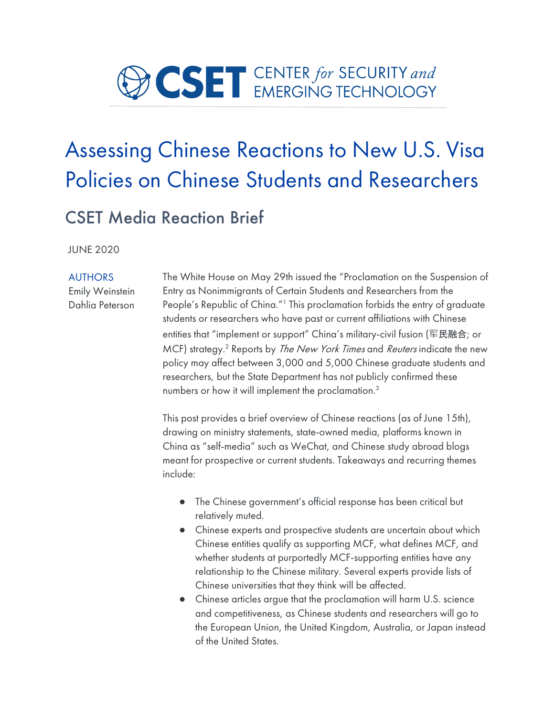

# Assessing Chinese Reactions to New U.S. Visa Policies on Chinese Students and Researchers

### CSET Media Reaction Brief

JUNE 2020

#### AUTHORS

Emily Weinstein Dahlia Peterson The White House on May 29th issued the "Proclamation on the Suspension of Entry as Nonimmigrants of Certain Students and Researchers from the People's Republic of China."<sup>1</sup> This proclamation forbids the entry of graduate students or researchers who have past or current affiliations with Chinese entities that "implement or support" China's military-civil fusion (军民融合; or MCF) strategy.<sup>2</sup> Reports by *The New York Times* and *Reuters* indicate the new policy may affect between 3,000 and 5,000 Chinese graduate students and researchers, but the State Department has not publicly confirmed these numbers or how it will implement the proclamation.3

This post provides a brief overview of Chinese reactions (as of June 15th), drawing on ministry statements, state-owned media, platforms known in China as "self-media" such as WeChat, and Chinese study abroad blogs meant for prospective or current students. Takeaways and recurring themes include:

- The Chinese government's official response has been critical but relatively muted.
- Chinese experts and prospective students are uncertain about which Chinese entities qualify as supporting MCF, what defines MCF, and whether students at purportedly MCF-supporting entities have any relationship to the Chinese military. Several experts provide lists of Chinese universities that they think will be affected.
- Chinese articles argue that the proclamation will harm U.S. science and competitiveness, as Chinese students and researchers will go to the European Union, the United Kingdom, Australia, or Japan instead of the United States.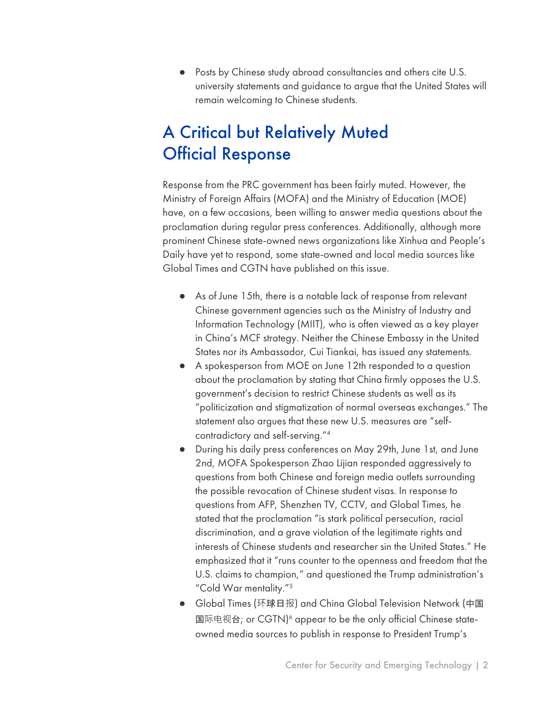● Posts by Chinese study abroad consultancies and others cite U.S. university statements and guidance to argue that the United States will remain welcoming to Chinese students.

# A Critical but Relatively Muted Official Response

Response from the PRC government has been fairly muted. However, the Ministry of Foreign Affairs (MOFA) and the Ministry of Education (MOE) have, on a few occasions, been willing to answer media questions about the proclamation during regular press conferences. Additionally, although more prominent Chinese state-owned news organizations like Xinhua and People's Daily have yet to respond, some state-owned and local media sources like Global Times and CGTN have published on this issue.

- As of June 15th, there is a notable lack of response from relevant Chinese government agencies such as the Ministry of Industry and Information Technology (MIIT), who is often viewed as a key player in China's MCF strategy. Neither the Chinese Embassy in the United States nor its Ambassador, Cui Tiankai, has issued any statements.
- A spokesperson from MOE on June 12th responded to a question about the proclamation by stating that China firmly opposes the U.S. government's decision to restrict Chinese students as well as its "politicization and stigmatization of normal overseas exchanges." The statement also argues that these new U.S. measures are "selfcontradictory and self-serving."4
- During his daily press conferences on May 29th, June 1st, and June 2nd, MOFA Spokesperson Zhao Lijian responded aggressively to questions from both Chinese and foreign media outlets surrounding the possible revocation of Chinese student visas. In response to questions from AFP, Shenzhen TV, CCTV, and Global Times, he stated that the proclamation "is stark political persecution, racial discrimination, and a grave violation of the legitimate rights and interests of Chinese students and researcher sin the United States." He emphasized that it "runs counter to the openness and freedom that the U.S. claims to champion," and questioned the Trump administration's "Cold War mentality."5
- Global Times (环球日报) and China Global Television Network (中国 国际电视台; or CGTN)<sup>6</sup> appear to be the only official Chinese stateowned media sources to publish in response to President Trump's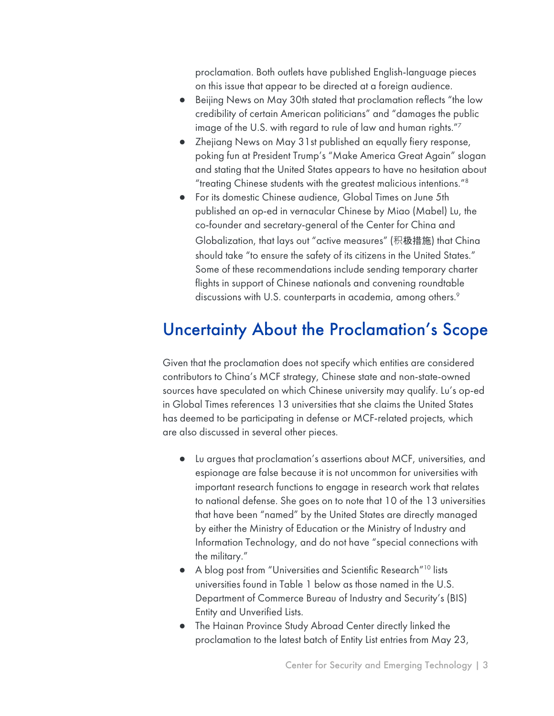proclamation. Both outlets have published English-language pieces on this issue that appear to be directed at a foreign audience.

- Beijing News on May 30th stated that proclamation reflects "the low credibility of certain American politicians" and "damages the public image of the U.S. with regard to rule of law and human rights."7
- Zhejiang News on May 31st published an equally fiery response, poking fun at President Trump's "Make America Great Again" slogan and stating that the United States appears to have no hesitation about "treating Chinese students with the greatest malicious intentions."8
- For its domestic Chinese audience, Global Times on June 5th published an op-ed in vernacular Chinese by Miao (Mabel) Lu, the co-founder and secretary-general of the Center for China and Globalization, that lays out "active measures" (积极措施) that China should take "to ensure the safety of its citizens in the United States." Some of these recommendations include sending temporary charter flights in support of Chinese nationals and convening roundtable discussions with U.S. counterparts in academia, among others.<sup>9</sup>

#### Uncertainty About the Proclamation's Scope

Given that the proclamation does not specify which entities are considered contributors to China's MCF strategy, Chinese state and non-state-owned sources have speculated on which Chinese university may qualify. Lu's op-ed in Global Times references 13 universities that she claims the United States has deemed to be participating in defense or MCF-related projects, which are also discussed in several other pieces.

- Lu argues that proclamation's assertions about MCF, universities, and espionage are false because it is not uncommon for universities with important research functions to engage in research work that relates to national defense. She goes on to note that 10 of the 13 universities that have been "named" by the United States are directly managed by either the Ministry of Education or the Ministry of Industry and Information Technology, and do not have "special connections with the military."
- A blog post from "Universities and Scientific Research"10 lists universities found in Table 1 below as those named in the U.S. Department of Commerce Bureau of Industry and Security's (BIS) Entity and Unverified Lists.
- The Hainan Province Study Abroad Center directly linked the proclamation to the latest batch of Entity List entries from May 23,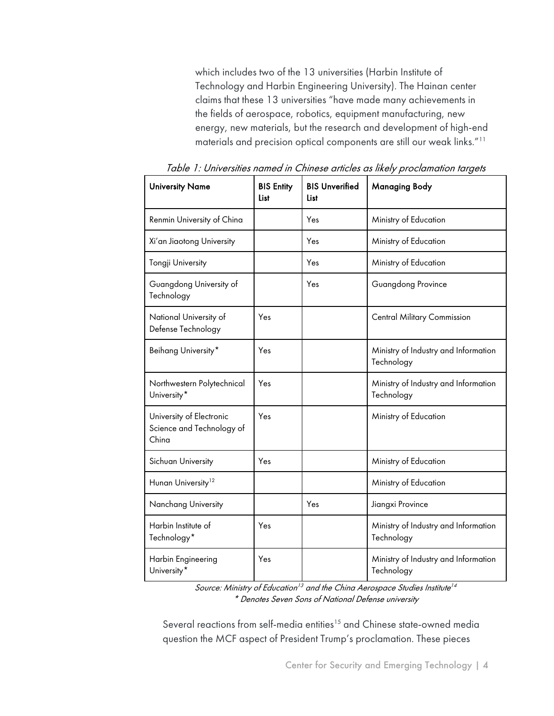which includes two of the 13 universities (Harbin Institute of Technology and Harbin Engineering University). The Hainan center claims that these 13 universities "have made many achievements in the fields of aerospace, robotics, equipment manufacturing, new energy, new materials, but the research and development of high-end materials and precision optical components are still our weak links."11

| <b>University Name</b>                                         | <b>BIS Entity</b><br>List | <b>BIS Unverified</b><br>List | <b>Managing Body</b>                               |
|----------------------------------------------------------------|---------------------------|-------------------------------|----------------------------------------------------|
| Renmin University of China                                     |                           | Yes                           | Ministry of Education                              |
| Xi'an Jiaotong University                                      |                           | Yes                           | Ministry of Education                              |
| Tongji University                                              |                           | Yes                           | Ministry of Education                              |
| Guangdong University of<br>Technology                          |                           | Yes                           | Guangdong Province                                 |
| National University of<br>Defense Technology                   | Yes                       |                               | <b>Central Military Commission</b>                 |
| Beihang University*                                            | Yes                       |                               | Ministry of Industry and Information<br>Technology |
| Northwestern Polytechnical<br>University <sup>*</sup>          | Yes                       |                               | Ministry of Industry and Information<br>Technology |
| University of Electronic<br>Science and Technology of<br>China | Yes                       |                               | Ministry of Education                              |
| Sichuan University                                             | Yes                       |                               | Ministry of Education                              |
| Hunan University <sup>12</sup>                                 |                           |                               | Ministry of Education                              |
| Nanchang University                                            |                           | Yes                           | Jiangxi Province                                   |
| Harbin Institute of<br>Technology*                             | Yes                       |                               | Ministry of Industry and Information<br>Technology |
| Harbin Engineering<br>University <sup>*</sup>                  | Yes                       |                               | Ministry of Industry and Information<br>Technology |

Table 1: Universities named in Chinese articles as likely proclamation targets

Source: Ministry of Education<sup>13</sup> and the China Aerospace Studies Institute<sup>14</sup> \* Denotes Seven Sons of National Defense university

Several reactions from self-media entities<sup>15</sup> and Chinese state-owned media question the MCF aspect of President Trump's proclamation. These pieces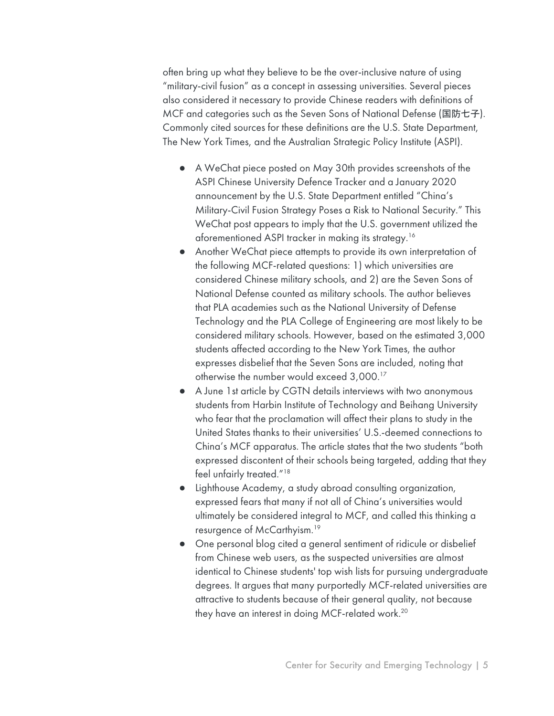often bring up what they believe to be the over-inclusive nature of using "military-civil fusion" as a concept in assessing universities. Several pieces also considered it necessary to provide Chinese readers with definitions of MCF and categories such as the Seven Sons of National Defense (国防七子). Commonly cited sources for these definitions are the U.S. State Department, The New York Times, and the Australian Strategic Policy Institute (ASPI).

- A WeChat piece posted on May 30th provides screenshots of the ASPI Chinese University Defence Tracker and a January 2020 announcement by the U.S. State Department entitled "China's Military-Civil Fusion Strategy Poses a Risk to National Security." This WeChat post appears to imply that the U.S. government utilized the aforementioned ASPI tracker in making its strategy.16
- Another WeChat piece attempts to provide its own interpretation of the following MCF-related questions: 1) which universities are considered Chinese military schools, and 2) are the Seven Sons of National Defense counted as military schools. The author believes that PLA academies such as the National University of Defense Technology and the PLA College of Engineering are most likely to be considered military schools. However, based on the estimated 3,000 students affected according to the New York Times, the author expresses disbelief that the Seven Sons are included, noting that otherwise the number would exceed 3,000.17
- A June 1st article by CGTN details interviews with two anonymous students from Harbin Institute of Technology and Beihang University who fear that the proclamation will affect their plans to study in the United States thanks to their universities' U.S.-deemed connections to China's MCF apparatus. The article states that the two students "both expressed discontent of their schools being targeted, adding that they feel unfairly treated."<sup>18</sup>
- Lighthouse Academy, a study abroad consulting organization, expressed fears that many if not all of China's universities would ultimately be considered integral to MCF, and called this thinking a resurgence of McCarthyism.19
- One personal blog cited a general sentiment of ridicule or disbelief from Chinese web users, as the suspected universities are almost identical to Chinese students' top wish lists for pursuing undergraduate degrees. It argues that many purportedly MCF-related universities are attractive to students because of their general quality, not because they have an interest in doing MCF-related work.<sup>20</sup>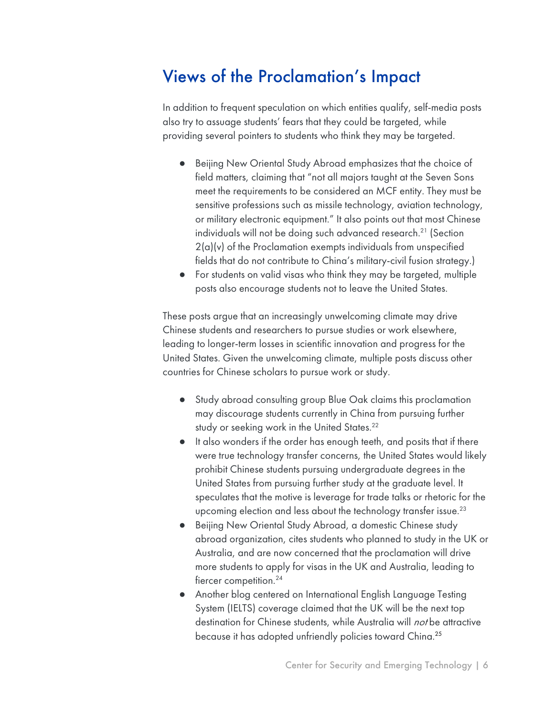# Views of the Proclamation's Impact

In addition to frequent speculation on which entities qualify, self-media posts also try to assuage students' fears that they could be targeted, while providing several pointers to students who think they may be targeted.

- Beijing New Oriental Study Abroad emphasizes that the choice of field matters, claiming that "not all majors taught at the Seven Sons meet the requirements to be considered an MCF entity. They must be sensitive professions such as missile technology, aviation technology, or military electronic equipment." It also points out that most Chinese individuals will not be doing such advanced research.<sup>21</sup> (Section 2(a)(v) of the Proclamation exempts individuals from unspecified fields that do not contribute to China's military-civil fusion strategy.)
- For students on valid visas who think they may be targeted, multiple posts also encourage students not to leave the United States.

These posts argue that an increasingly unwelcoming climate may drive Chinese students and researchers to pursue studies or work elsewhere, leading to longer-term losses in scientific innovation and progress for the United States. Given the unwelcoming climate, multiple posts discuss other countries for Chinese scholars to pursue work or study.

- Study abroad consulting group Blue Oak claims this proclamation may discourage students currently in China from pursuing further study or seeking work in the United States.<sup>22</sup>
- It also wonders if the order has enough teeth, and posits that if there were true technology transfer concerns, the United States would likely prohibit Chinese students pursuing undergraduate degrees in the United States from pursuing further study at the graduate level. It speculates that the motive is leverage for trade talks or rhetoric for the upcoming election and less about the technology transfer issue.<sup>23</sup>
- Beijing New Oriental Study Abroad, a domestic Chinese study abroad organization, cites students who planned to study in the UK or Australia, and are now concerned that the proclamation will drive more students to apply for visas in the UK and Australia, leading to fiercer competition.<sup>24</sup>
- Another blog centered on International English Language Testing System (IELTS) coverage claimed that the UK will be the next top destination for Chinese students, while Australia will *not* be attractive because it has adopted unfriendly policies toward China. 25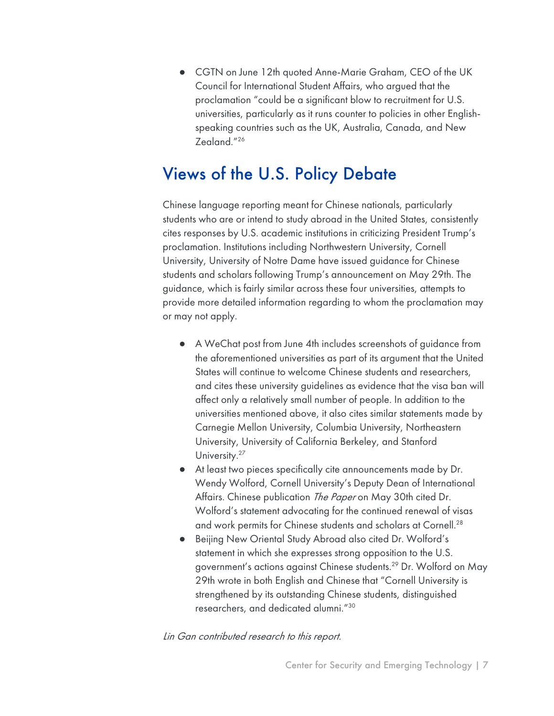● CGTN on June 12th quoted Anne-Marie Graham, CEO of the UK Council for International Student Affairs, who argued that the proclamation "could be a significant blow to recruitment for U.S. universities, particularly as it runs counter to policies in other Englishspeaking countries such as the UK, Australia, Canada, and New Zealand."26

## Views of the U.S. Policy Debate

Chinese language reporting meant for Chinese nationals, particularly students who are or intend to study abroad in the United States, consistently cites responses by U.S. academic institutions in criticizing President Trump's proclamation. Institutions including Northwestern University, Cornell University, University of Notre Dame have issued guidance for Chinese students and scholars following Trump's announcement on May 29th. The guidance, which is fairly similar across these four universities, attempts to provide more detailed information regarding to whom the proclamation may or may not apply.

- A WeChat post from June 4th includes screenshots of guidance from the aforementioned universities as part of its argument that the United States will continue to welcome Chinese students and researchers, and cites these university guidelines as evidence that the visa ban will affect only a relatively small number of people. In addition to the universities mentioned above, it also cites similar statements made by Carnegie Mellon University, Columbia University, Northeastern University, University of California Berkeley, and Stanford University.<sup>27</sup>
- At least two pieces specifically cite announcements made by Dr. Wendy Wolford, Cornell University's Deputy Dean of International Affairs. Chinese publication The Paper on May 30th cited Dr. Wolford's statement advocating for the continued renewal of visas and work permits for Chinese students and scholars at Cornell.28
- Beijing New Oriental Study Abroad also cited Dr. Wolford's statement in which she expresses strong opposition to the U.S. government's actions against Chinese students.29 Dr. Wolford on May 29th wrote in both English and Chinese that "Cornell University is strengthened by its outstanding Chinese students, distinguished researchers, and dedicated alumni."30

Lin Gan contributed research to this report.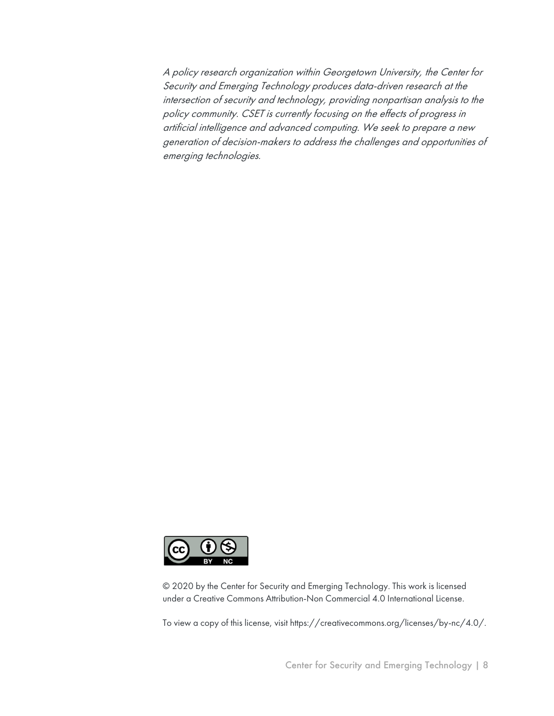A policy research organization within Georgetown University, the Center for Security and Emerging Technology produces data-driven research at the intersection of security and technology, providing nonpartisan analysis to the policy community. CSET is currently focusing on the effects of progress in artificial intelligence and advanced computing. We seek to prepare a new generation of decision-makers to address the challenges and opportunities of emerging technologies.



© 2020 by the Center for Security and Emerging Technology. This work is licensed under a Creative Commons Attribution-Non Commercial 4.0 International License.

To view a copy of this license, visit https://creativecommons.org/licenses/by-nc/4.0/.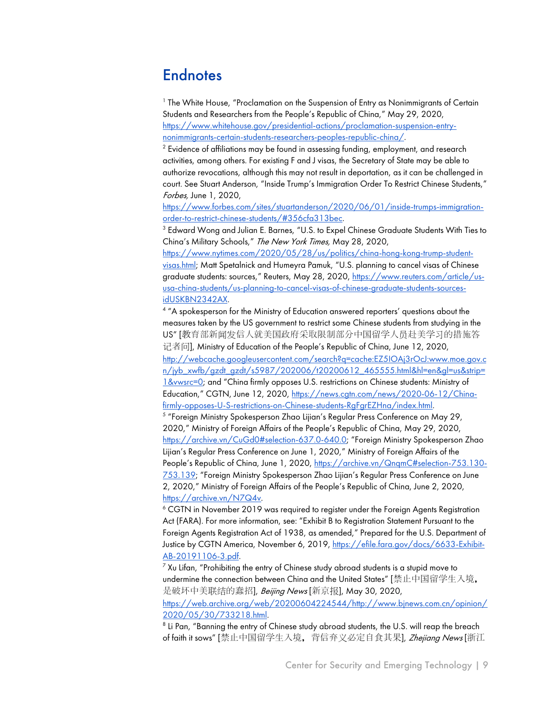#### **Endnotes**

<sup>1</sup> The White House, "Proclamation on the Suspension of Entry as Nonimmigrants of Certain Students and Researchers from the People's Republic of China," May 29, 2020, https://www.whitehouse.gov/presidential-actions/proclamation-suspension-entrynonimmigrants-certain-students-researchers-peoples-republic-china/.

 $2$  Evidence of affiliations may be found in assessing funding, employment, and research activities, among others. For existing F and J visas, the Secretary of State may be able to authorize revocations, although this may not result in deportation, as it can be challenged in court. See Stuart Anderson, "Inside Trump's Immigration Order To Restrict Chinese Students," Forbes, June 1, 2020,

https://www.forbes.com/sites/stuartanderson/2020/06/01/inside-trumps-immigrationorder-to-restrict-chinese-students/#356cfa313bec.

<sup>3</sup> Edward Wong and Julian E. Barnes, "U.S. to Expel Chinese Graduate Students With Ties to China's Military Schools," The New York Times, May 28, 2020,

https://www.nytimes.com/2020/05/28/us/politics/china-hong-kong-trump-studentvisas.html; Matt Spetalnick and Humeyra Pamuk, "U.S. planning to cancel visas of Chinese graduate students: sources," Reuters, May 28, 2020, https://www.reuters.com/article/ususa-china-students/us-planning-to-cancel-visas-of-chinese-graduate-students-sourcesidUSKBN2342AX.<br><sup>4</sup> "A spokesperson for the Ministry of Education answered reporters' questions about the

measures taken by the US government to restrict some Chinese students from studying in the US" [教育部新闻发信人就美国政府采取限制部分中国留学人员赴美学习的措施答 记者问], Ministry of Education of the People's Republic of China, June 12, 2020, http://webcache.googleusercontent.com/search?q=cache:EZ5IOAj3rOcJ:www.moe.gov.c n/jyb\_xwfb/gzdt\_gzdt/s5987/202006/t20200612\_465555.html&hl=en&gl=us&strip= 1&vwsrc=0; and "China firmly opposes U.S. restrictions on Chinese students: Ministry of Education," CGTN, June 12, 2020, https://news.cgtn.com/news/2020-06-12/Chinafirmly-opposes-U-S-restrictions-on-Chinese-students-RgFgrEZHna/index.html.

<sup>5</sup> "Foreign Ministry Spokesperson Zhao Lijian's Regular Press Conference on May 29, 2020," Ministry of Foreign Affairs of the People's Republic of China, May 29, 2020, https://archive.vn/CuGd0#selection-637.0-640.0; "Foreign Ministry Spokesperson Zhao Lijian's Regular Press Conference on June 1, 2020," Ministry of Foreign Affairs of the People's Republic of China, June 1, 2020, https://archive.vn/QnqmC#selection-753.130- 753.139; "Foreign Ministry Spokesperson Zhao Lijian's Regular Press Conference on June 2, 2020," Ministry of Foreign Affairs of the People's Republic of China, June 2, 2020, https://archive.vn/N7Q4v.

<sup>6</sup> CGTN in November 2019 was required to register under the Foreign Agents Registration Act (FARA). For more information, see: "Exhibit B to Registration Statement Pursuant to the Foreign Agents Registration Act of 1938, as amended," Prepared for the U.S. Department of Justice by CGTN America, November 6, 2019, https://efile.fara.gov/docs/6633-Exhibit-

 $\frac{\text{AB-20191106-3.pdf.}}{$  Xu Lifan, "Prohibiting the entry of Chinese study abroad students is a stupid move to undermine the connection between China and the United States" [禁止中国留学生入境, 是破坏中美联结的蠢招], Beijing News [新京报], May 30, 2020, https://web.archive.org/web/20200604224544/http://www.bjnews.com.cn/opinion/ 2020/05/30/733218.html.

<sup>8</sup> Li Pan, "Banning the entry of Chinese study abroad students, the U.S. will reap the breach of faith it sows" [禁止中国留学生入境, 背信弃义必定自食其果], Zhejiang News [浙江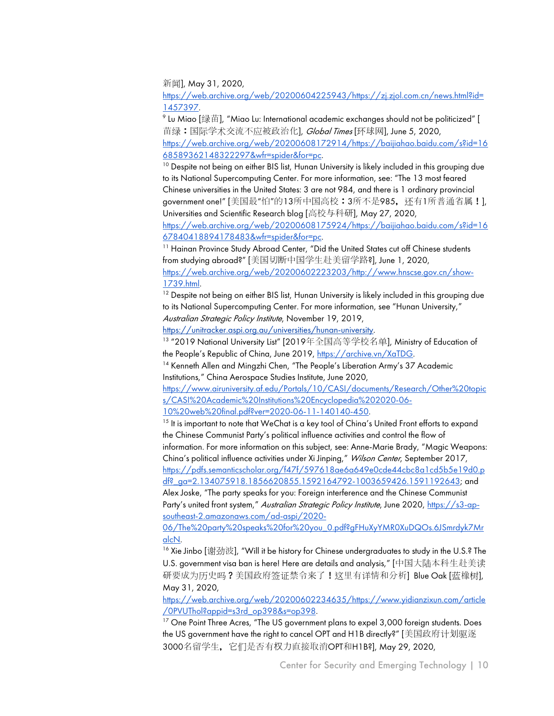新闻], May 31, 2020,

https://web.archive.org/web/20200604225943/https://zj.zjol.com.cn/news.html?id= 1457397.

 $^{\circ}$  Lu Miao [绿苗], "Miao Lu: International academic exchanges should not be politicized" [ 苗绿:国际学术交流不应被政治化], Global Times [环球网], June 5, 2020, https://web.archive.org/web/20200608172914/https://baijiahao.baidu.com/s?id=16 68589362148322297&wfr=spider&for=pc.

<sup>10</sup> Despite not being on either BIS list, Hunan University is likely included in this grouping due to its National Supercomputing Center. For more information, see: "The 13 most feared Chinese universities in the United States: 3 are not 984, and there is 1 ordinary provincial government one!" [美国最"怕"的13所中国高校:3所不是985, 还有1所普通省属!], Universities and Scientific Research blog [高校与科研], May 27, 2020,

https://web.archive.org/web/20200608175924/https://baijiahao.baidu.com/s?id=16 67840418894178483&wfr=spider&for=pc.

<sup>11</sup> Hainan Province Study Abroad Center, "Did the United States cut off Chinese students from studying abroad?" [美国切断中国学生赴美留学路?], June 1, 2020, https://web.archive.org/web/20200602223203/http://www.hnscse.gov.cn/show-1739.html.

 $12$  Despite not being on either BIS list, Hunan University is likely included in this grouping due to its National Supercomputing Center. For more information, see "Hunan University," Australian Strategic Policy Institute, November 19, 2019,

https://unitracker.aspi.org.au/universities/hunan-university.

<sup>13</sup> "2019 National University List" [2019年全国高等学校名单], Ministry of Education of the People's Republic of China, June 2019, https://archive.vn/XaTDG.

<sup>14</sup> Kenneth Allen and Mingzhi Chen, "The People's Liberation Army's 37 Academic Institutions," China Aerospace Studies Institute, June 2020,

https://www.airuniversity.af.edu/Portals/10/CASI/documents/Research/Other%20topic s/CASI%20Academic%20Institutions%20Encyclopedia%202020-06- 10%20web%20final.pdf?ver=2020-06-11-140140-450.

 $15$  It is important to note that WeChat is a key tool of China's United Front efforts to expand the Chinese Communist Party's political influence activities and control the flow of information. For more information on this subject, see: Anne-Marie Brady, "Magic Weapons: China's political influence activities under Xi Jinping," Wilson Center, September 2017, https://pdfs.semanticscholar.org/f47f/597618ae6a649e0cde44cbc8a1cd5b5e19d0.p df?\_ga=2.134075918.1856620855.1592164792-1003659426.1591192643; and

Alex Joske, "The party speaks for you: Foreign interference and the Chinese Communist Party's united front system," Australian Strategic Policy Institute, June 2020, https://s3-apsoutheast-2.amazonaws.com/ad-aspi/2020-

06/The%20party%20speaks%20for%20you\_0.pdf?gFHuXyYMR0XuDQOs.6JSmrdyk7Mr alcN.

 $^{16}$  Xie Jinbo [谢劲波], "Will it be history for Chinese undergraduates to study in the U.S.? The U.S. government visa ban is here! Here are details and analysis," [中国大陆本科生赴美读 研要成为历史吗?美国政府签证禁令来了!这里有详情和分析] Blue Oak [蓝橡树], May 31, 2020,

https://web.archive.org/web/20200602234635/https://www.yidianzixun.com/article /0PVUThol?appid=s3rd\_op398&s=op398.

<sup>17</sup> One Point Three Acres, "The US government plans to expel 3,000 foreign students. Does the US government have the right to cancel OPT and H1B directly?" [美国政府计划驱逐 3000名留学生,它们是否有权力直接取消OPT和H1B?], May 29, 2020,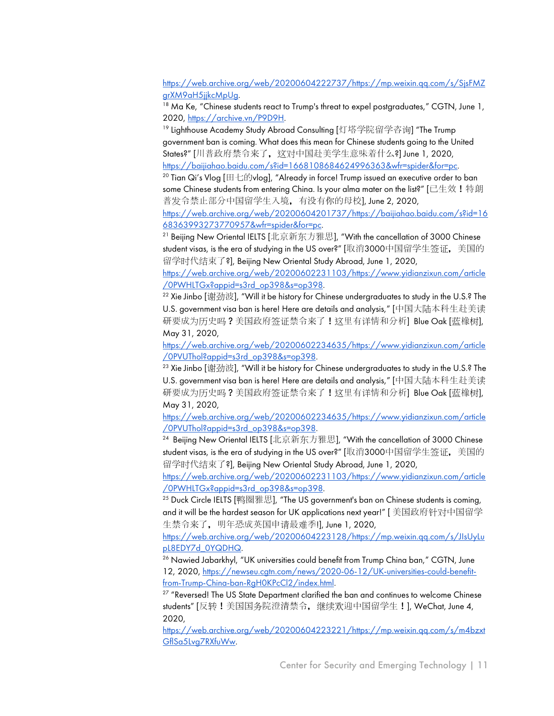https://web.archive.org/web/20200604222737/https://mp.weixin.qq.com/s/SjsFMZ grXM9aH5jjkcMpUg.

 $18$  Ma Ke, "Chinese students react to Trump's threat to expel postgraduates," CGTN, June 1, 2020, https://archive.vn/P9D9H.

<sup>19</sup> Lighthouse Academy Study Abroad Consulting [灯塔学院留学咨询] "The Trump government ban is coming. What does this mean for Chinese students going to the United States?" [川普政府禁令来了,这对中国赴美学生意味着什么?] June 1, 2020, https://baijiahao.baidu.com/s?id=1668108684624996363&wfr=spider&for=pc.

<sup>20</sup> Tian Qi's Vlog [田七的vlog], "Already in force! Trump issued an executive order to ban some Chinese students from entering China. Is your alma mater on the list?" [已生效!特朗 普发令禁止部分中国留学生入境, 有没有你的母校], June 2, 2020,

https://web.archive.org/web/20200604201737/https://baijiahao.baidu.com/s?id=16 68363993273770957&wfr=spider&for=pc.

 $^{21}$  Beijing New Oriental IELTS [北京新东方雅思], "With the cancellation of 3000 Chinese student visas, is the era of studying in the US over?" [取消3000中国留学生签证, 美国的 留学时代结束了?], Beijing New Oriental Study Abroad, June 1, 2020,

https://web.archive.org/web/20200602231103/https://www.yidianzixun.com/article /0PWHLTGx?appid=s3rd\_op398&s=op398.

 $22$  Xie Jinbo [谢劲波], "Will it be history for Chinese undergraduates to study in the U.S.? The U.S. government visa ban is here! Here are details and analysis," [中国大陆本科生赴美读 研要成为历史吗?美国政府签证禁令来了!这里有详情和分析] Blue Oak [蓝橡树], May 31, 2020,

https://web.archive.org/web/20200602234635/https://www.yidianzixun.com/article /0PVUThol?appid=s3rd\_op398&s=op398.

 $23$  Xie Jinbo [谢劲波], "Will it be history for Chinese undergraduates to study in the U.S.? The U.S. government visa ban is here! Here are details and analysis," [中国大陆本科生赴美读 研要成为历史吗?美国政府签证禁令来了!这里有详情和分析] Blue Oak [蓝橡树], May 31, 2020,

https://web.archive.org/web/20200602234635/https://www.yidianzixun.com/article /0PVUThol?appid=s3rd\_op398&s=op398.

<sup>24</sup> Beijing New Oriental IELTS [北京新东方雅思], "With the cancellation of 3000 Chinese student visas, is the era of studying in the US over?" [取消3000中国留学生签证, 美国的 留学时代结束了?], Beijing New Oriental Study Abroad, June 1, 2020,

https://web.archive.org/web/20200602231103/https://www.yidianzixun.com/article /0PWHLTGx?appid=s3rd\_op398&s=op398.

 $25$  Duck Circle IELTS [鸭圈雅思], "The US government's ban on Chinese students is coming, and it will be the hardest season for UK applications next year!" [ 美国政府针对中国留学 生禁令来了, 明年恐成英国申请最难季!], June 1, 2020,

https://web.archive.org/web/20200604223128/https://mp.weixin.qq.com/s/JIsUyLu pL8EDY7d\_0YQDHQ.

<sup>26</sup> Nawied Jabarkhyl, "UK universities could benefit from Trump China ban," CGTN, June 12, 2020, https://newseu.cgtn.com/news/2020-06-12/UK-universities-could-benefitfrom-Trump-China-ban-RgH0KPcCl2/index.html.

<sup>27</sup> "Reversed! The US State Department clarified the ban and continues to welcome Chinese students" [反转!美国国务院澄清禁令,继续欢迎中国留学生!], WeChat, June 4, 2020,

https://web.archive.org/web/20200604223221/https://mp.weixin.qq.com/s/m4bzxt GflSa5Lvg7RXfuWw.